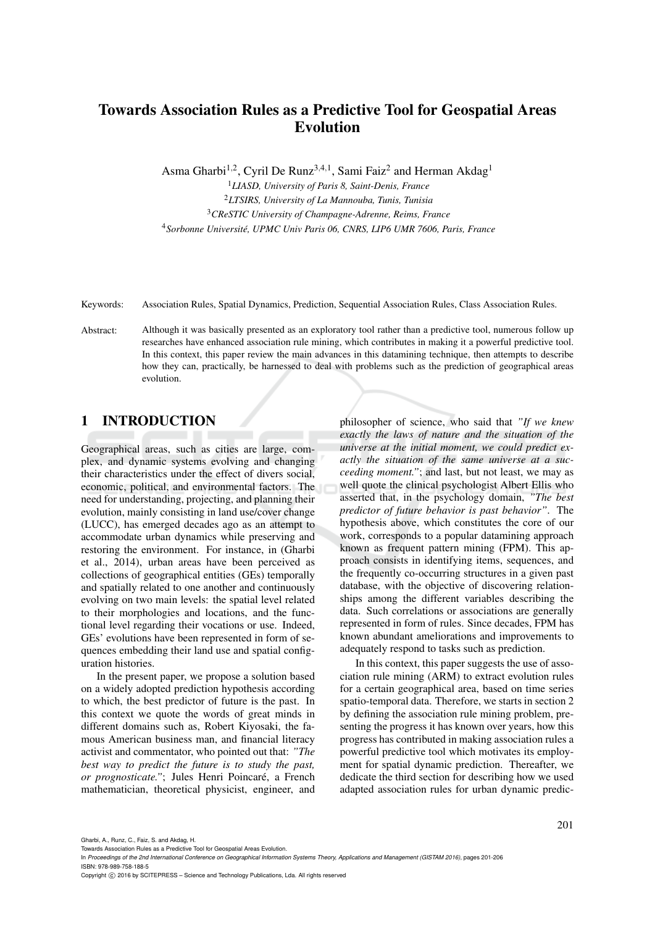# Towards Association Rules as a Predictive Tool for Geospatial Areas Evolution

Asma Gharbi<sup>1,2</sup>, Cyril De Runz<sup>3,4,1</sup>, Sami Faiz<sup>2</sup> and Herman Akdag<sup>1</sup>

*LIASD, University of Paris 8, Saint-Denis, France LTSIRS, University of La Mannouba, Tunis, Tunisia CReSTIC University of Champagne-Adrenne, Reims, France Sorbonne Universite, UPMC Univ Paris 06, CNRS, LIP6 UMR 7606, Paris, France ´*

Keywords: Association Rules, Spatial Dynamics, Prediction, Sequential Association Rules, Class Association Rules.

Abstract: Although it was basically presented as an exploratory tool rather than a predictive tool, numerous follow up researches have enhanced association rule mining, which contributes in making it a powerful predictive tool. In this context, this paper review the main advances in this datamining technique, then attempts to describe how they can, practically, be harnessed to deal with problems such as the prediction of geographical areas evolution.

## 1 INTRODUCTION

Geographical areas, such as cities are large, complex, and dynamic systems evolving and changing their characteristics under the effect of divers social, economic, political, and environmental factors. The need for understanding, projecting, and planning their evolution, mainly consisting in land use/cover change (LUCC), has emerged decades ago as an attempt to accommodate urban dynamics while preserving and restoring the environment. For instance, in (Gharbi et al., 2014), urban areas have been perceived as collections of geographical entities (GEs) temporally and spatially related to one another and continuously evolving on two main levels: the spatial level related to their morphologies and locations, and the functional level regarding their vocations or use. Indeed, GEs' evolutions have been represented in form of sequences embedding their land use and spatial configuration histories.

In the present paper, we propose a solution based on a widely adopted prediction hypothesis according to which, the best predictor of future is the past. In this context we quote the words of great minds in different domains such as, Robert Kiyosaki, the famous American business man, and financial literacy activist and commentator, who pointed out that: *"The best way to predict the future is to study the past,* or prognosticate."; Jules Henri Poincaré, a French mathematician, theoretical physicist, engineer, and

philosopher of science, who said that *"If we knew exactly the laws of nature and the situation of the universe at the initial moment, we could predict exactly the situation of the same universe at a succeeding moment."*; and last, but not least, we may as well quote the clinical psychologist Albert Ellis who asserted that, in the psychology domain, *"The best predictor of future behavior is past behavior"*. The hypothesis above, which constitutes the core of our work, corresponds to a popular datamining approach known as frequent pattern mining (FPM). This approach consists in identifying items, sequences, and the frequently co-occurring structures in a given past database, with the objective of discovering relationships among the different variables describing the data. Such correlations or associations are generally represented in form of rules. Since decades, FPM has known abundant ameliorations and improvements to adequately respond to tasks such as prediction.

In this context, this paper suggests the use of association rule mining (ARM) to extract evolution rules for a certain geographical area, based on time series spatio-temporal data. Therefore, we starts in section 2 by defining the association rule mining problem, presenting the progress it has known over years, how this progress has contributed in making association rules a powerful predictive tool which motivates its employment for spatial dynamic prediction. Thereafter, we dedicate the third section for describing how we used adapted association rules for urban dynamic predic-

Gharbi, A., Runz, C., Faiz, S. and Akdag, H.

In *Proceedings of the 2nd International Conference on Geographical Information Systems Theory, Applications and Management (GISTAM 2016)*, pages 201-206 ISBN: 978-989-758-188-5

Copyright (C) 2016 by SCITEPRESS - Science and Technology Publications, Lda. All rights reserved

Towards Association Rules as a Predictive Tool for Geospatial Areas Evolution.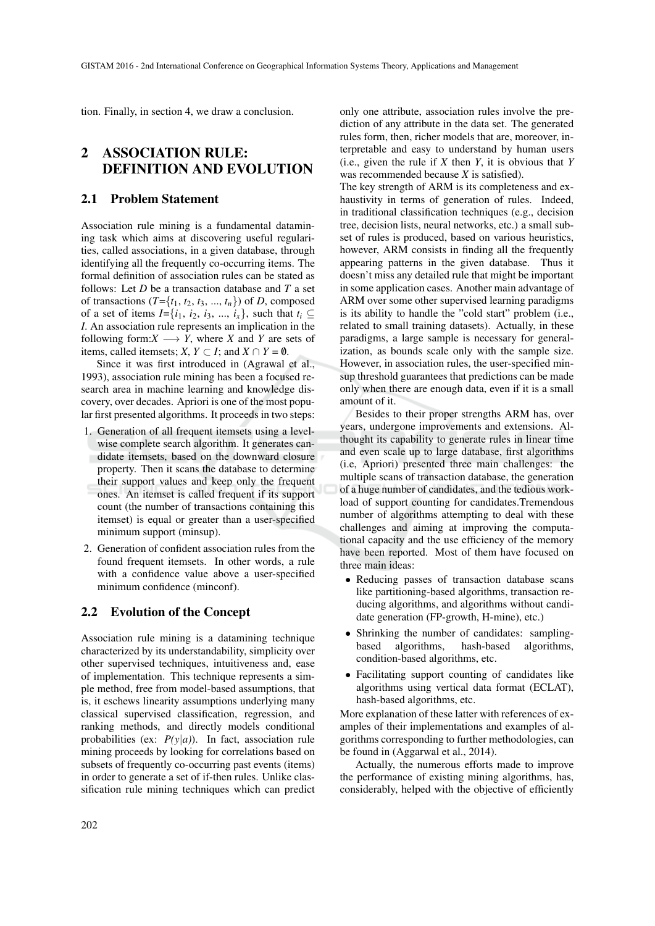tion. Finally, in section 4, we draw a conclusion.

## 2 ASSOCIATION RULE: DEFINITION AND EVOLUTION

#### 2.1 Problem Statement

Association rule mining is a fundamental datamining task which aims at discovering useful regularities, called associations, in a given database, through identifying all the frequently co-occurring items. The formal definition of association rules can be stated as follows: Let *D* be a transaction database and *T* a set of transactions  $(T=\{t_1, t_2, t_3, ..., t_n\})$  of *D*, composed of a set of items  $I = \{i_1, i_2, i_3, ..., i_x\}$ , such that  $t_i \subseteq$ *I*. An association rule represents an implication in the following form: $X \longrightarrow Y$ , where X and Y are sets of items, called itemsets; *X*,  $Y \subset I$ ; and  $X \cap Y = \emptyset$ .

Since it was first introduced in (Agrawal et al., 1993), association rule mining has been a focused research area in machine learning and knowledge discovery, over decades. Apriori is one of the most popular first presented algorithms. It proceeds in two steps:

- 1. Generation of all frequent itemsets using a levelwise complete search algorithm. It generates candidate itemsets, based on the downward closure property. Then it scans the database to determine their support values and keep only the frequent ones. An itemset is called frequent if its support count (the number of transactions containing this itemset) is equal or greater than a user-specified minimum support (minsup).
- 2. Generation of confident association rules from the found frequent itemsets. In other words, a rule with a confidence value above a user-specified minimum confidence (minconf).

#### 2.2 Evolution of the Concept

Association rule mining is a datamining technique characterized by its understandability, simplicity over other supervised techniques, intuitiveness and, ease of implementation. This technique represents a simple method, free from model-based assumptions, that is, it eschews linearity assumptions underlying many classical supervised classification, regression, and ranking methods, and directly models conditional probabilities (ex:  $P(y|a)$ ). In fact, association rule mining proceeds by looking for correlations based on subsets of frequently co-occurring past events (items) in order to generate a set of if-then rules. Unlike classification rule mining techniques which can predict only one attribute, association rules involve the prediction of any attribute in the data set. The generated rules form, then, richer models that are, moreover, interpretable and easy to understand by human users (i.e., given the rule if *X* then *Y*, it is obvious that *Y* was recommended because *X* is satisfied).

The key strength of ARM is its completeness and exhaustivity in terms of generation of rules. Indeed, in traditional classification techniques (e.g., decision tree, decision lists, neural networks, etc.) a small subset of rules is produced, based on various heuristics, however, ARM consists in finding all the frequently appearing patterns in the given database. Thus it doesn't miss any detailed rule that might be important in some application cases. Another main advantage of ARM over some other supervised learning paradigms is its ability to handle the "cold start" problem (i.e., related to small training datasets). Actually, in these paradigms, a large sample is necessary for generalization, as bounds scale only with the sample size. However, in association rules, the user-specified minsup threshold guarantees that predictions can be made only when there are enough data, even if it is a small amount of it.

Besides to their proper strengths ARM has, over years, undergone improvements and extensions. Althought its capability to generate rules in linear time and even scale up to large database, first algorithms (i.e, Apriori) presented three main challenges: the multiple scans of transaction database, the generation of a huge number of candidates, and the tedious workload of support counting for candidates.Tremendous number of algorithms attempting to deal with these challenges and aiming at improving the computational capacity and the use efficiency of the memory have been reported. Most of them have focused on three main ideas:

- Reducing passes of transaction database scans like partitioning-based algorithms, transaction reducing algorithms, and algorithms without candidate generation (FP-growth, H-mine), etc.)
- Shrinking the number of candidates: sampling-<br>based algorithms, hash-based algorithms, hash-based algorithms, condition-based algorithms, etc.
- Facilitating support counting of candidates like algorithms using vertical data format (ECLAT), hash-based algorithms, etc.

More explanation of these latter with references of examples of their implementations and examples of algorithms corresponding to further methodologies, can be found in (Aggarwal et al., 2014).

Actually, the numerous efforts made to improve the performance of existing mining algorithms, has, considerably, helped with the objective of efficiently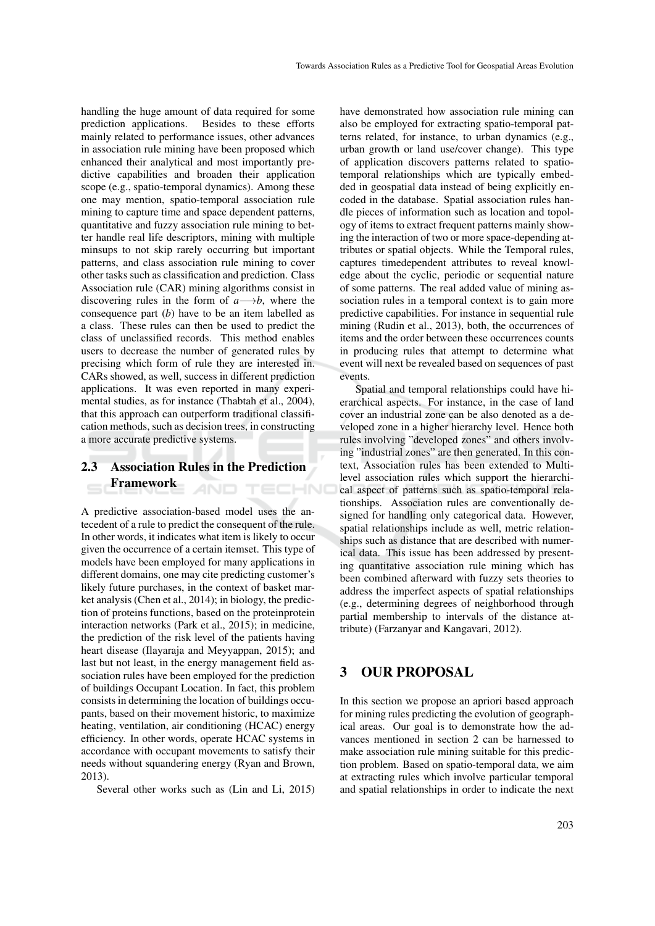handling the huge amount of data required for some prediction applications. Besides to these efforts mainly related to performance issues, other advances in association rule mining have been proposed which enhanced their analytical and most importantly predictive capabilities and broaden their application scope (e.g., spatio-temporal dynamics). Among these one may mention, spatio-temporal association rule mining to capture time and space dependent patterns, quantitative and fuzzy association rule mining to better handle real life descriptors, mining with multiple minsups to not skip rarely occurring but important patterns, and class association rule mining to cover other tasks such as classification and prediction. Class Association rule (CAR) mining algorithms consist in discovering rules in the form of  $a \rightarrow b$ , where the consequence part (*b*) have to be an item labelled as a class. These rules can then be used to predict the class of unclassified records. This method enables users to decrease the number of generated rules by precising which form of rule they are interested in. CARs showed, as well, success in different prediction applications. It was even reported in many experimental studies, as for instance (Thabtah et al., 2004), that this approach can outperform traditional classification methods, such as decision trees, in constructing a more accurate predictive systems.

#### 2.3 Association Rules in the Prediction Framework 4ND TECHNO

A predictive association-based model uses the antecedent of a rule to predict the consequent of the rule. In other words, it indicates what item is likely to occur given the occurrence of a certain itemset. This type of models have been employed for many applications in different domains, one may cite predicting customer's likely future purchases, in the context of basket market analysis (Chen et al., 2014); in biology, the prediction of proteins functions, based on the proteinprotein interaction networks (Park et al., 2015); in medicine, the prediction of the risk level of the patients having heart disease (Ilayaraja and Meyyappan, 2015); and last but not least, in the energy management field association rules have been employed for the prediction of buildings Occupant Location. In fact, this problem consists in determining the location of buildings occupants, based on their movement historic, to maximize heating, ventilation, air conditioning (HCAC) energy efficiency. In other words, operate HCAC systems in accordance with occupant movements to satisfy their needs without squandering energy (Ryan and Brown, 2013).

Several other works such as (Lin and Li, 2015)

have demonstrated how association rule mining can also be employed for extracting spatio-temporal patterns related, for instance, to urban dynamics (e.g., urban growth or land use/cover change). This type of application discovers patterns related to spatiotemporal relationships which are typically embedded in geospatial data instead of being explicitly encoded in the database. Spatial association rules handle pieces of information such as location and topology of items to extract frequent patterns mainly showing the interaction of two or more space-depending attributes or spatial objects. While the Temporal rules, captures timedependent attributes to reveal knowledge about the cyclic, periodic or sequential nature of some patterns. The real added value of mining association rules in a temporal context is to gain more predictive capabilities. For instance in sequential rule mining (Rudin et al., 2013), both, the occurrences of items and the order between these occurrences counts in producing rules that attempt to determine what event will next be revealed based on sequences of past events.

Spatial and temporal relationships could have hierarchical aspects. For instance, in the case of land cover an industrial zone can be also denoted as a developed zone in a higher hierarchy level. Hence both rules involving "developed zones" and others involving "industrial zones" are then generated. In this context, Association rules has been extended to Multilevel association rules which support the hierarchical aspect of patterns such as spatio-temporal relationships. Association rules are conventionally designed for handling only categorical data. However, spatial relationships include as well, metric relationships such as distance that are described with numerical data. This issue has been addressed by presenting quantitative association rule mining which has been combined afterward with fuzzy sets theories to address the imperfect aspects of spatial relationships (e.g., determining degrees of neighborhood through partial membership to intervals of the distance attribute) (Farzanyar and Kangavari, 2012).

## 3 OUR PROPOSAL

In this section we propose an apriori based approach for mining rules predicting the evolution of geographical areas. Our goal is to demonstrate how the advances mentioned in section 2 can be harnessed to make association rule mining suitable for this prediction problem. Based on spatio-temporal data, we aim at extracting rules which involve particular temporal and spatial relationships in order to indicate the next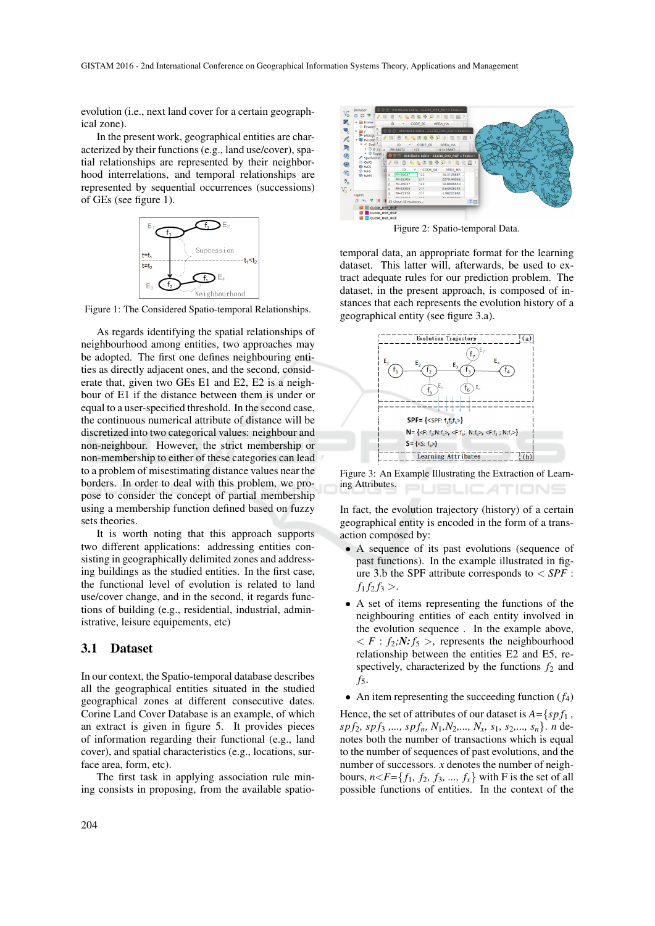evolution (i.e., next land cover for a certain geographical zone).

In the present work, geographical entities are characterized by their functions (e.g., land use/cover), spatial relationships are represented by their neighborhood interrelations, and temporal relationships are represented by sequential occurrences (successions) of GEs (see figure 1).



Figure 1: The Considered Spatio-temporal Relationships.

As regards identifying the spatial relationships of neighbourhood among entities, two approaches may be adopted. The first one defines neighbouring entities as directly adjacent ones, and the second, considerate that, given two GEs E1 and E2, E2 is a neighbour of E1 if the distance between them is under or equal to a user-specified threshold. In the second case, the continuous numerical attribute of distance will be discretized into two categorical values: neighbour and non-neighbour. However, the strict membership or non-membership to either of these categories can lead to a problem of misestimating distance values near the borders. In order to deal with this problem, we propose to consider the concept of partial membership using a membership function defined based on fuzzy sets theories.

It is worth noting that this approach supports two different applications: addressing entities consisting in geographically delimited zones and addressing buildings as the studied entities. In the first case, the functional level of evolution is related to land use/cover change, and in the second, it regards functions of building (e.g., residential, industrial, administrative, leisure equipements, etc)

#### 3.1 Dataset

In our context, the Spatio-temporal database describes all the geographical entities situated in the studied geographical zones at different consecutive dates. Corine Land Cover Database is an example, of which an extract is given in figure 5. It provides pieces of information regarding their functional (e.g., land cover), and spatial characteristics (e.g., locations, surface area, form, etc).

The first task in applying association rule mining consists in proposing, from the available spatio-



Figure 2: Spatio-temporal Data.

temporal data, an appropriate format for the learning dataset. This latter will, afterwards, be used to extract adequate rules for our prediction problem. The dataset, in the present approach, is composed of instances that each represents the evolution history of a geographical entity (see figure 3.a).



Figure 3: An Example Illustrating the Extraction of Learning Attributes. **JBLICATIONS** 

In fact, the evolution trajectory (history) of a certain geographical entity is encoded in the form of a transaction composed by:

- A sequence of its past evolutions (sequence of past functions). In the example illustrated in figure 3.b the SPF attribute corresponds to < *SPF* :  $f_1 f_2 f_3 >$ .
- A set of items representing the functions of the neighbouring entities of each entity involved in the evolution sequence . In the example above,  $\langle F : f_2 : N : f_5 \rangle$ , represents the neighbourhood relationship between the entities E2 and E5, respectively, characterized by the functions  $f_2$  and *f*5.
- An item representing the succeeding function  $(f_4)$

Hence, the set of attributes of our dataset is *A=*{*sp f*<sup>1</sup> *, sp f*2*, sp f*<sup>3</sup> *,..., sp fn, N*1*,N*2*,..., Nx, s*1*, s*2*,..., sn*}. *n* denotes both the number of transactions which is equal to the number of sequences of past evolutions, and the number of successors. *x* denotes the number of neighbours,  $n < F = \{f_1, f_2, f_3, ..., f_x\}$  with F is the set of all possible functions of entities. In the context of the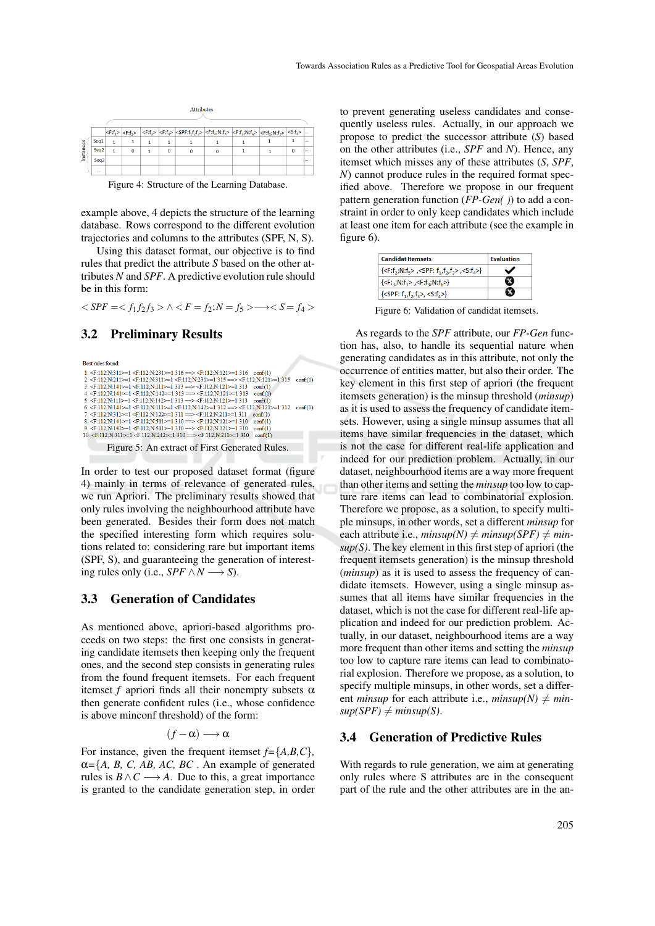| nstances |                  |  |  |  |          | $ \!\! <\!\! F\!:\!\! f_{1}> \!\! \mid \!\! <\!\! F\!:\!\! f_{2}> \!\! \mid \!\! <\!\! F\!:\!\! f_{3}> \!\! \mid \!\! <\!\! \mathrm{SPF}\!:\!\! f_{1}f_{2}> \!\! \mid \!\! <\!\! F\!:\!\! f_{2}\! \rangle N\!:\!\! f_{5}> \!\! \mid \!\! <\!\! F\!:\!\! f_{3}\! \rangle N\!:\!\! f_{6}> \!\! \mid \!\! <\!\! F\!:\!\! f_{4}\! \rangle N\!:\!\! f_{7}> \!\! \mid \!\! <\!\! S\!:\!\! f_{4}> \!\$ |  |  |  |  |          |  |
|----------|------------------|--|--|--|----------|-------------------------------------------------------------------------------------------------------------------------------------------------------------------------------------------------------------------------------------------------------------------------------------------------------------------------------------------------------------------------------------------------|--|--|--|--|----------|--|
|          | Sea1             |  |  |  |          |                                                                                                                                                                                                                                                                                                                                                                                                 |  |  |  |  | 111      |  |
|          | Sea <sub>2</sub> |  |  |  | $\bf{0}$ |                                                                                                                                                                                                                                                                                                                                                                                                 |  |  |  |  | 1.11     |  |
|          | Sea <sub>3</sub> |  |  |  |          |                                                                                                                                                                                                                                                                                                                                                                                                 |  |  |  |  | $\cdots$ |  |
|          |                  |  |  |  |          |                                                                                                                                                                                                                                                                                                                                                                                                 |  |  |  |  |          |  |

Attributes

Figure 4: Structure of the Learning Database.

example above, 4 depicts the structure of the learning database. Rows correspond to the different evolution trajectories and columns to the attributes (SPF, N, S).

Using this dataset format, our objective is to find rules that predict the attribute *S* based on the other attributes *N* and *SPF*. A predictive evolution rule should be in this form:

 $\langle SPF = \langle f_1 f_2 f_3 \rangle \land \langle F = f_2 ; N = f_5 \rangle \longrightarrow \langle S = f_4 \rangle$ 

#### 3.2 Preliminary Results

Best rules found 1 ZE-112-N-311S=1 ZE-112-N-231S=1 316 == SZE-112-N-121S=1 316 = conf(1) 7.  $\frac{3}{2}$  (Filip Ni11>=1 (Filip Ni42>=1 313 = > (Filip Ni12)>=1 313 conf(1)<br>5. (Filip Ni11>=1 (Filip Ni142>=1 313 = > (Filip Ni12)>=1 312 conf(1)<br>6. (Filip Ni141>=1 (Filip Ni142)=1 311 = > (Filip Ni142)=1 312 conf(1)<br>7 9.  $\leftarrow$  112;N:142>=1  $\leftarrow$  1.12;N:511>=1 310 =>  $\leftarrow$  4.112;N:121>=1 310 conf(1)<br>10.  $\leftarrow$  112;N:142>=1  $\leftarrow$  4.112;N:511>=1 310 =>  $\leftarrow$  4.112;N:121>=1 310 conf(1) Figure 5: An extract of First Generated Rules.

In order to test our proposed dataset format (figure 4) mainly in terms of relevance of generated rules, we run Apriori. The preliminary results showed that only rules involving the neighbourhood attribute have been generated. Besides their form does not match the specified interesting form which requires solutions related to: considering rare but important items (SPF, S), and guaranteeing the generation of interesting rules only (i.e., *SPF*  $\land N \rightarrow S$ ).

#### 3.3 Generation of Candidates

As mentioned above, apriori-based algorithms proceeds on two steps: the first one consists in generating candidate itemsets then keeping only the frequent ones, and the second step consists in generating rules from the found frequent itemsets. For each frequent itemset *f* apriori finds all their nonempty subsets  $\alpha$ then generate confident rules (i.e., whose confidence is above minconf threshold) of the form:

$$
(f-\alpha)\longrightarrow\alpha
$$

For instance, given the frequent itemset *f=*{*A,B,C*}*,*  $\alpha = \{A, B, C, AB, AC, BC, A \}$ . An example of generated rules is  $B \wedge C \longrightarrow A$ . Due to this, a great importance is granted to the candidate generation step, in order to prevent generating useless candidates and consequently useless rules. Actually, in our approach we propose to predict the successor attribute (*S*) based on the other attributes (i.e., *SPF* and *N*). Hence, any itemset which misses any of these attributes (*S*, *SPF*, *N*) cannot produce rules in the required format specified above. Therefore we propose in our frequent pattern generation function (*FP-Gen( )*) to add a constraint in order to only keep candidates which include at least one item for each attribute (see the example in figure 6).

| <b>Candidat Itemsets</b>                                                    | <b>Fvaluation</b> |  |  |
|-----------------------------------------------------------------------------|-------------------|--|--|
| $\{$ , <spf: <math="">f_1, f_2, f_3&gt;, <s:<math>f_4&gt;}</s:<math></spf:> | ✔                 |  |  |
| $\{$ , $$                                                                   |                   |  |  |
| { <spf: <math="">f_1, f_2, f_3&gt;, <s:<math>f_4&gt;}</s:<math></spf:>      |                   |  |  |

Figure 6: Validation of candidat itemsets.

As regards to the *SPF* attribute, our *FP-Gen* function has, also, to handle its sequential nature when generating candidates as in this attribute, not only the occurrence of entities matter, but also their order. The key element in this first step of apriori (the frequent itemsets generation) is the minsup threshold (*minsup*) as it is used to assess the frequency of candidate itemsets. However, using a single minsup assumes that all items have similar frequencies in the dataset, which is not the case for different real-life application and indeed for our prediction problem. Actually, in our dataset, neighbourhood items are a way more frequent than other items and setting the *minsup* too low to capture rare items can lead to combinatorial explosion. Therefore we propose, as a solution, to specify multiple minsups, in other words, set a different *minsup* for each attribute i.e.,  $minsup(N) \neq minsup(SPF) \neq min$ *sup(S)*. The key element in this first step of apriori (the frequent itemsets generation) is the minsup threshold (*minsup*) as it is used to assess the frequency of candidate itemsets. However, using a single minsup assumes that all items have similar frequencies in the dataset, which is not the case for different real-life application and indeed for our prediction problem. Actually, in our dataset, neighbourhood items are a way more frequent than other items and setting the *minsup* too low to capture rare items can lead to combinatorial explosion. Therefore we propose, as a solution, to specify multiple minsups, in other words, set a different *minsup* for each attribute i.e., *minsup*(*N*)  $\neq$  *min* $sup(SPF) \neq minsup(S)$ .

#### 3.4 Generation of Predictive Rules

With regards to rule generation, we aim at generating only rules where S attributes are in the consequent part of the rule and the other attributes are in the an